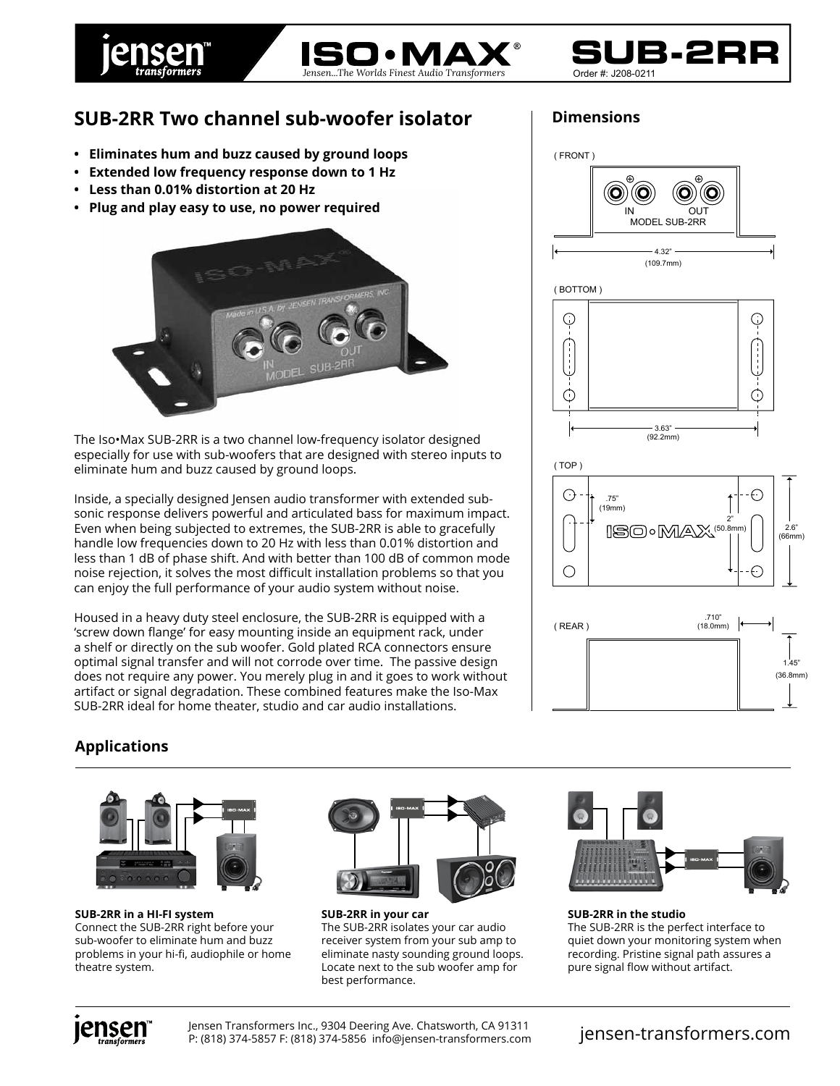





## **SUB-2RR Two channel sub-woofer isolator**

- **Eliminates hum and buzz caused by ground loops**
- **Extended low frequency response down to 1 Hz**
- **Less than 0.01% distortion at 20 Hz**
- **Plug and play easy to use, no power required**



The Iso•Max SUB-2RR is a two channel low-frequency isolator designed especially for use with sub-woofers that are designed with stereo inputs to eliminate hum and buzz caused by ground loops.

Inside, a specially designed Jensen audio transformer with extended subsonic response delivers powerful and articulated bass for maximum impact. Even when being subjected to extremes, the SUB-2RR is able to gracefully handle low frequencies down to 20 Hz with less than 0.01% distortion and less than 1 dB of phase shift. And with better than 100 dB of common mode noise rejection, it solves the most difficult installation problems so that you can enjoy the full performance of your audio system without noise.

Housed in a heavy duty steel enclosure, the SUB-2RR is equipped with a 'screw down flange' for easy mounting inside an equipment rack, under a shelf or directly on the sub woofer. Gold plated RCA connectors ensure optimal signal transfer and will not corrode over time. The passive design does not require any power. You merely plug in and it goes to work without artifact or signal degradation. These combined features make the Iso-Max SUB-2RR ideal for home theater, studio and car audio installations.





## **Applications**



**SUB-2RR in a HI-FI system** Connect the SUB-2RR right before your sub-woofer to eliminate hum and buzz problems in your hi-fi, audiophile or home theatre system.



**SUB-2RR in your car** The SUB-2RR isolates your car audio receiver system from your sub amp to eliminate nasty sounding ground loops. Locate next to the sub woofer amp for best performance.



**SUB-2RR in the studio** The SUB-2RR is the perfect interface to quiet down your monitoring system when recording. Pristine signal path assures a pure signal flow without artifact.



Jensen Transformers Inc., 9304 Deering Ave. Chatsworth, CA 91311 P: (818) 374-5857 F: (818) 374-5856 info@jensen-transformers.com jensen-transformers.com